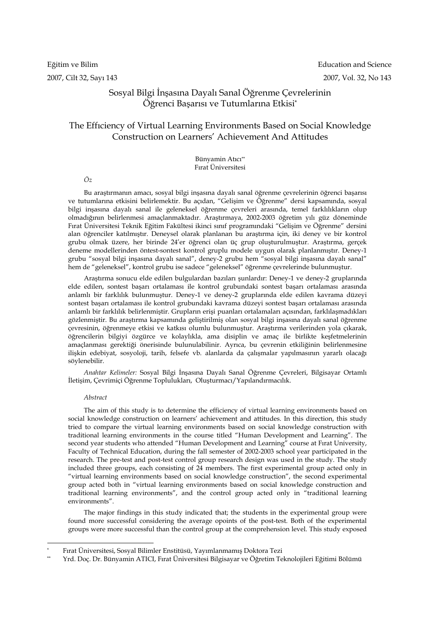# Sosyal Bilgi İnşasına Dayalı Sanal Öğrenme Çevrelerinin Öğrenci Başarısı ve Tutumlarına Etkisi\*

# The Effıciency of Virtual Learning Environments Based on Social Knowledge Construction on Learners' Achievement And Attitudes

Bünyamin Atıcı\*\* Fırat Üniversitesi

*Öz* 

Bu araştırmanın amacı, sosyal bilgi inşasına dayalı sanal öğrenme çevrelerinin öğrenci başarısı ve tutumlarına etkisini belirlemektir. Bu açıdan, "Gelişim ve Öğrenme" dersi kapsamında, sosyal bilgi inşasına dayalı sanal ile geleneksel öğrenme çevreleri arasında, temel farklılıkların olup olmadığının belirlenmesi amaçlanmaktadır. Araştırmaya, 2002-2003 öğretim yılı güz döneminde Fırat Üniversitesi Teknik Eğitim Fakültesi ikinci sınıf programındaki "Gelişim ve Öğrenme" dersini alan öğrenciler katılmıştır. Deneysel olarak planlanan bu araştırma için, iki deney ve bir kontrol grubu olmak üzere, her birinde 24'er öğrenci olan üç grup oluşturulmuştur. Araştırma, gerçek deneme modellerinden öntest-sontest kontrol gruplu modele uygun olarak planlanmıştır. Deney-1 grubu "sosyal bilgi inşasına dayalı sanal", deney-2 grubu hem "sosyal bilgi inşasına dayalı sanal" hem de "geleneksel", kontrol grubu ise sadece "geleneksel" öğrenme çevrelerinde bulunmuştur.

Araştırma sonucu elde edilen bulgulardan bazıları şunlardır: Deney-1 ve deney-2 gruplarında elde edilen, sontest başarı ortalaması ile kontrol grubundaki sontest başarı ortalaması arasında anlamlı bir farklılık bulunmuştur. Deney-1 ve deney-2 gruplarında elde edilen kavrama düzeyi sontest başarı ortalaması ile kontrol grubundaki kavrama düzeyi sontest başarı ortalaması arasında anlamlı bir farklılık belirlenmiştir. Grupların erişi puanları ortalamaları açısından, farklılaşmadıkları gözlenmiştir. Bu araştırma kapsamında geliştirilmiş olan sosyal bilgi inşasına dayalı sanal öğrenme çevresinin, öğrenmeye etkisi ve katkısı olumlu bulunmuştur. Araştırma verilerinden yola çıkarak, öğrencilerin bilgiyi özgürce ve kolaylıkla, ama disiplin ve amaç ile birlikte keşfetmelerinin amaçlanması gerektiği önerisinde bulunulabilinir. Ayrıca, bu çevrenin etkiliğinin belirlenmesine ilişkin edebiyat, sosyoloji, tarih, felsefe vb. alanlarda da çalışmalar yapılmasının yararlı olacağı söylenebilir.

*Anahtar Kelimeler:* Sosyal Bilgi İnşasına Dayalı Sanal Öğrenme Çevreleri, Bilgisayar Ortamlı İletişim, Çevrimiçi Öğrenme Toplulukları, Oluşturmacı/Yapılandırmacılık.

#### *Abstract*

 $\overline{a}$ 

The aim of this study is to determine the efficiency of virtual learning environments based on social knowledge construction on learners' achievement and attitudes. In this direction, this study tried to compare the virtual learning environments based on social knowledge construction with traditional learning environments in the course titled "Human Development and Learning". The second year students who attended "Human Development and Learning" course at Fırat University, Faculty of Technical Education, during the fall semester of 2002-2003 school year participated in the research. The pre-test and post-test control group research design was used in the study. The study included three groups, each consisting of 24 members. The first experimental group acted only in "virtual learning environments based on social knowledge construction", the second experimental group acted both in "virtual learning environments based on social knowledge construction and traditional learning environments", and the control group acted only in "traditional learning environments".

The major findings in this study indicated that; the students in the experimental group were found more successful considering the average opoints of the post-test. Both of the experimental groups were more successful than the control group at the comprehension level. This study exposed

<sup>\*</sup> Fırat Üniversitesi, Sosyal Bilimler Enstitüsü, Yayımlanmamış Doktora Tezi

<sup>\*\*</sup> Yrd. Doç. Dr. Bünyamin ATICI, Fırat Üniversitesi Bilgisayar ve Öğretim Teknolojileri Eğitimi Bölümü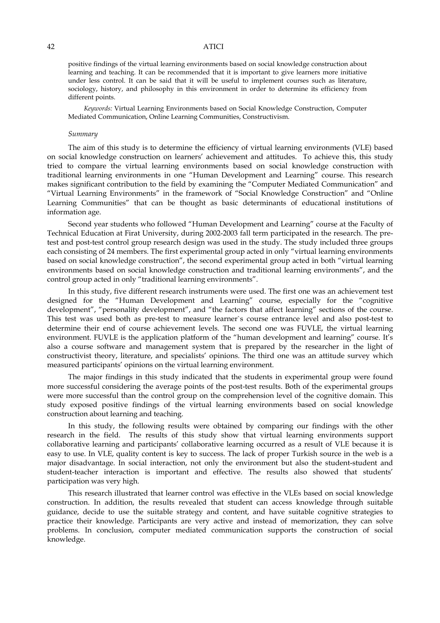positive findings of the virtual learning environments based on social knowledge construction about learning and teaching. It can be recommended that it is important to give learners more initiative under less control. It can be said that it will be useful to implement courses such as literature, sociology, history, and philosophy in this environment in order to determine its efficiency from different points.

*Keywords:* Virtual Learning Environments based on Social Knowledge Construction, Computer Mediated Communication, Online Learning Communities, Constructivism.

#### *Summary*

The aim of this study is to determine the efficiency of virtual learning environments (VLE) based on social knowledge construction on learners' achievement and attitudes. To achieve this, this study tried to compare the virtual learning environments based on social knowledge construction with traditional learning environments in one "Human Development and Learning" course. This research makes significant contribution to the field by examining the "Computer Mediated Communication" and "Virtual Learning Environments" in the framework of "Social Knowledge Construction" and "Online Learning Communities" that can be thought as basic determinants of educational institutions of information age.

Second year students who followed "Human Development and Learning" course at the Faculty of Technical Education at Firat University, during 2002-2003 fall term participated in the research. The pretest and post-test control group research design was used in the study. The study included three groups each consisting of 24 members. The first experimental group acted in only "virtual learning environments based on social knowledge construction", the second experimental group acted in both "virtual learning environments based on social knowledge construction and traditional learning environments", and the control group acted in only "traditional learning environments".

In this study, five different research instruments were used. The first one was an achievement test designed for the "Human Development and Learning" course, especially for the "cognitive development", "personality development", and "the factors that affect learning" sections of the course. This test was used both as pre-test to measure learner`s course entrance level and also post-test to determine their end of course achievement levels. The second one was FUVLE, the virtual learning environment. FUVLE is the application platform of the "human development and learning" course. It's also a course software and management system that is prepared by the researcher in the light of constructivist theory, literature, and specialists' opinions. The third one was an attitude survey which measured participants' opinions on the virtual learning environment.

The major findings in this study indicated that the students in experimental group were found more successful considering the average points of the post-test results. Both of the experimental groups were more successful than the control group on the comprehension level of the cognitive domain. This study exposed positive findings of the virtual learning environments based on social knowledge construction about learning and teaching.

In this study, the following results were obtained by comparing our findings with the other research in the field. The results of this study show that virtual learning environments support collaborative learning and participants' collaborative learning occurred as a result of VLE because it is easy to use. In VLE, quality content is key to success. The lack of proper Turkish source in the web is a major disadvantage. In social interaction, not only the environment but also the student-student and student-teacher interaction is important and effective. The results also showed that students' participation was very high.

This research illustrated that learner control was effective in the VLEs based on social knowledge construction. In addition, the results revealed that student can access knowledge through suitable guidance, decide to use the suitable strategy and content, and have suitable cognitive strategies to practice their knowledge. Participants are very active and instead of memorization, they can solve problems. In conclusion, computer mediated communication supports the construction of social knowledge.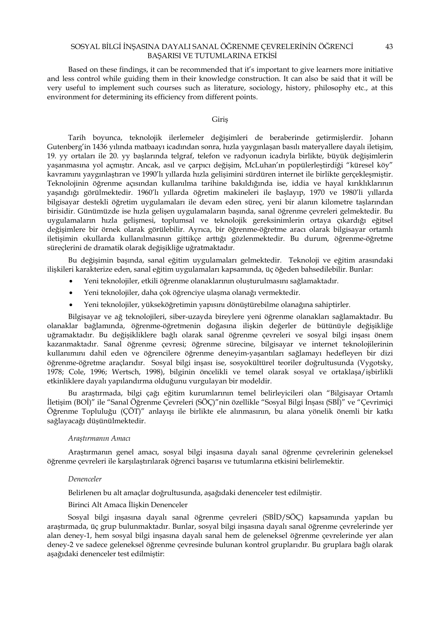Based on these findings, it can be recommended that it's important to give learners more initiative and less control while guiding them in their knowledge construction. It can also be said that it will be very useful to implement such courses such as literature, sociology, history, philosophy etc., at this environment for determining its efficiency from different points.

### Giriş

Tarih boyunca, teknolojik ilerlemeler değişimleri de beraberinde getirmişlerdir. Johann Gutenberg'in 1436 yılında matbaayı icadından sonra, hızla yaygınlaşan basılı materyallere dayalı iletişim, 19. yy ortaları ile 20. yy başlarında telgraf, telefon ve radyonun icadıyla birlikte, büyük değişimlerin yaşanmasına yol açmıştır. Ancak, asıl ve çarpıcı değişim, McLuhan'ın popülerleştirdiği "küresel köy" kavramını yaygınlaştıran ve 1990'lı yıllarda hızla gelişimini sürdüren internet ile birlikte gerçekleşmiştir. Teknolojinin öğrenme açısından kullanılma tarihine bakıldığında ise, iddia ve hayal kırıklıklarının yaşandığı görülmektedir. 1960'lı yıllarda öğretim makineleri ile başlayıp, 1970 ve 1980'li yıllarda bilgisayar destekli öğretim uygulamaları ile devam eden süreç, yeni bir alanın kilometre taşlarından birisidir. Günümüzde ise hızla gelişen uygulamaların başında, sanal öğrenme çevreleri gelmektedir. Bu uygulamaların hızla gelişmesi, toplumsal ve teknolojik gereksinimlerin ortaya çıkardığı eğitsel değişimlere bir örnek olarak görülebilir. Ayrıca, bir öğrenme-öğretme aracı olarak bilgisayar ortamlı iletişimin okullarda kullanılmasının gittikçe arttığı gözlenmektedir. Bu durum, öğrenme-öğretme süreçlerini de dramatik olarak değişikliğe uğratmaktadır.

Bu değişimin başında, sanal eğitim uygulamaları gelmektedir. Teknoloji ve eğitim arasındaki ilişkileri karakterize eden, sanal eğitim uygulamaları kapsamında, üç öğeden bahsedilebilir. Bunlar:

- Yeni teknolojiler, etkili öğrenme olanaklarının oluşturulmasını sağlamaktadır.
- Yeni teknolojiler, daha çok öğrenciye ulaşma olanağı vermektedir.
- Yeni teknolojiler, yükseköğretimin yapısını dönüştürebilme olanağına sahiptirler.

Bilgisayar ve ağ teknolojileri, siber-uzayda bireylere yeni öğrenme olanakları sağlamaktadır. Bu olanaklar bağlamında, öğrenme-öğretmenin doğasına ilişkin değerler de bütünüyle değişikliğe uğramaktadır. Bu değişikliklere bağlı olarak sanal öğrenme çevreleri ve sosyal bilgi inşası önem kazanmaktadır. Sanal öğrenme çevresi; öğrenme sürecine, bilgisayar ve internet teknolojilerinin kullanımını dahil eden ve öğrencilere öğrenme deneyim-yaşantıları sağlamayı hedefleyen bir dizi öğrenme-öğretme araçlarıdır. Sosyal bilgi inşası ise, sosyokültürel teoriler doğrultusunda (Vygotsky, 1978; Cole, 1996; Wertsch, 1998), bilginin öncelikli ve temel olarak sosyal ve ortaklaşa/işbirlikli etkinliklere dayalı yapılandırma olduğunu vurgulayan bir modeldir.

Bu araştırmada, bilgi çağı eğitim kurumlarının temel belirleyicileri olan "Bilgisayar Ortamlı İletişim (BOİ)" ile "Sanal Öğrenme Çevreleri (SÖÇ)"nin özellikle "Sosyal Bilgi İnşası (SBİ)" ve "Çevrimiçi Öğrenme Topluluğu (ÇÖT)" anlayışı ile birlikte ele alınmasının, bu alana yönelik önemli bir katkı sağlayacağı düşünülmektedir.

#### *Araştırmanın Amacı*

Araştırmanın genel amacı, sosyal bilgi inşasına dayalı sanal öğrenme çevrelerinin geleneksel öğrenme çevreleri ile karşılaştırılarak öğrenci başarısı ve tutumlarına etkisini belirlemektir.

#### *Denenceler*

Belirlenen bu alt amaçlar doğrultusunda, aşağıdaki denenceler test edilmiştir.

Birinci Alt Amaca İlişkin Denenceler

Sosyal bilgi inşasına dayalı sanal öğrenme çevreleri (SBİD/SÖÇ) kapsamında yapılan bu araştırmada, üç grup bulunmaktadır. Bunlar, sosyal bilgi inşasına dayalı sanal öğrenme çevrelerinde yer alan deney-1, hem sosyal bilgi inşasına dayalı sanal hem de geleneksel öğrenme çevrelerinde yer alan deney-2 ve sadece geleneksel öğrenme çevresinde bulunan kontrol gruplarıdır. Bu gruplara bağlı olarak aşağıdaki denenceler test edilmiştir: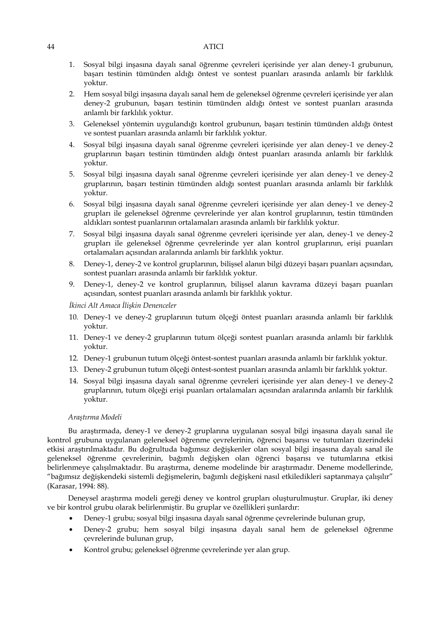- 1. Sosyal bilgi inşasına dayalı sanal öğrenme çevreleri içerisinde yer alan deney-1 grubunun, başarı testinin tümünden aldığı öntest ve sontest puanları arasında anlamlı bir farklılık yoktur.
- 2. Hem sosyal bilgi inşasına dayalı sanal hem de geleneksel öğrenme çevreleri içerisinde yer alan deney-2 grubunun, başarı testinin tümünden aldığı öntest ve sontest puanları arasında anlamlı bir farklılık yoktur.
- 3. Geleneksel yöntemin uygulandığı kontrol grubunun, başarı testinin tümünden aldığı öntest ve sontest puanları arasında anlamlı bir farklılık yoktur.
- 4. Sosyal bilgi inşasına dayalı sanal öğrenme çevreleri içerisinde yer alan deney-1 ve deney-2 gruplarının başarı testinin tümünden aldığı öntest puanları arasında anlamlı bir farklılık yoktur.
- 5. Sosyal bilgi inşasına dayalı sanal öğrenme çevreleri içerisinde yer alan deney-1 ve deney-2 gruplarının, başarı testinin tümünden aldığı sontest puanları arasında anlamlı bir farklılık yoktur.
- 6. Sosyal bilgi inşasına dayalı sanal öğrenme çevreleri içerisinde yer alan deney-1 ve deney-2 grupları ile geleneksel öğrenme çevrelerinde yer alan kontrol gruplarının, testin tümünden aldıkları sontest puanlarının ortalamaları arasında anlamlı bir farklılık yoktur.
- 7. Sosyal bilgi inşasına dayalı sanal öğrenme çevreleri içerisinde yer alan, deney-1 ve deney-2 grupları ile geleneksel öğrenme çevrelerinde yer alan kontrol gruplarının, erişi puanları ortalamaları açısından aralarında anlamlı bir farklılık yoktur.
- 8. Deney-1, deney-2 ve kontrol gruplarının, bilişsel alanın bilgi düzeyi başarı puanları açısından, sontest puanları arasında anlamlı bir farklılık yoktur.
- 9. Deney-1, deney-2 ve kontrol gruplarının, bilişsel alanın kavrama düzeyi başarı puanları açısından, sontest puanları arasında anlamlı bir farklılık yoktur.

*İkinci Alt Amaca İlişkin Denenceler*

- 10. Deney-1 ve deney-2 gruplarının tutum ölçeği öntest puanları arasında anlamlı bir farklılık yoktur.
- 11. Deney-1 ve deney-2 gruplarının tutum ölçeği sontest puanları arasında anlamlı bir farklılık yoktur.
- 12. Deney-1 grubunun tutum ölçeği öntest-sontest puanları arasında anlamlı bir farklılık yoktur.
- 13. Deney-2 grubunun tutum ölçeği öntest-sontest puanları arasında anlamlı bir farklılık yoktur.
- 14. Sosyal bilgi inşasına dayalı sanal öğrenme çevreleri içerisinde yer alan deney-1 ve deney-2 gruplarının, tutum ölçeği erişi puanları ortalamaları açısından aralarında anlamlı bir farklılık yoktur.

### *Araştırma Modeli*

Bu araştırmada, deney-1 ve deney-2 gruplarına uygulanan sosyal bilgi inşasına dayalı sanal ile kontrol grubuna uygulanan geleneksel öğrenme çevrelerinin, öğrenci başarısı ve tutumları üzerindeki etkisi araştırılmaktadır. Bu doğrultuda bağımsız değişkenler olan sosyal bilgi inşasına dayalı sanal ile geleneksel öğrenme çevrelerinin, bağımlı değişken olan öğrenci başarısı ve tutumlarına etkisi belirlenmeye çalışılmaktadır. Bu araştırma, deneme modelinde bir araştırmadır. Deneme modellerinde, "bağımsız değişkendeki sistemli değişmelerin, bağımlı değişkeni nasıl etkiledikleri saptanmaya çalışılır" (Karasar, 1994: 88).

Deneysel araştırma modeli gereği deney ve kontrol grupları oluşturulmuştur. Gruplar, iki deney ve bir kontrol grubu olarak belirlenmiştir. Bu gruplar ve özellikleri şunlardır:

- Deney-1 grubu; sosyal bilgi inşasına dayalı sanal öğrenme çevrelerinde bulunan grup,
- Deney-2 grubu; hem sosyal bilgi inşasına dayalı sanal hem de geleneksel öğrenme çevrelerinde bulunan grup,
- Kontrol grubu; geleneksel öğrenme çevrelerinde yer alan grup.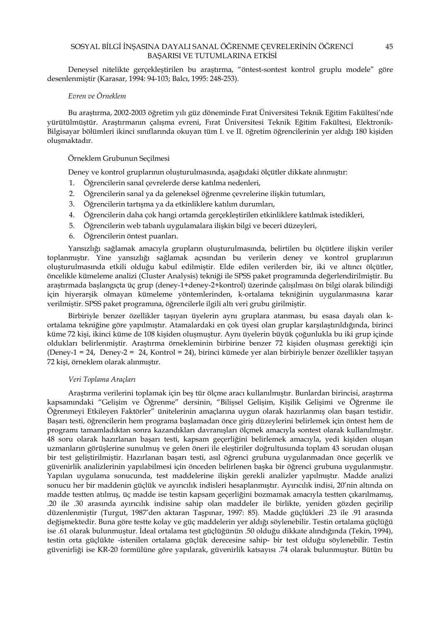Deneysel nitelikte gerçekleştirilen bu araştırma, "öntest-sontest kontrol gruplu modele" göre desenlenmiştir (Karasar, 1994: 94-103; Balcı, 1995: 248-253).

### *Evren ve Örneklem*

Bu araştırma, 2002-2003 öğretim yılı güz döneminde Fırat Üniversitesi Teknik Eğitim Fakültesi'nde yürütülmüştür. Araştırmanın çalışma evreni, Fırat Üniversitesi Teknik Eğitim Fakültesi, Elektronik-Bilgisayar bölümleri ikinci sınıflarında okuyan tüm I. ve II. öğretim öğrencilerinin yer aldığı 180 kişiden oluşmaktadır.

### Örneklem Grubunun Seçilmesi

Deney ve kontrol gruplarının oluşturulmasında, aşağıdaki ölçütler dikkate alınmıştır:

- 1. Öğrencilerin sanal çevrelerde derse katılma nedenleri,
- 2. Öğrencilerin sanal ya da geleneksel öğrenme çevrelerine ilişkin tutumları,
- 3. Öğrencilerin tartışma ya da etkinliklere katılım durumları,
- 4. Öğrencilerin daha çok hangi ortamda gerçekleştirilen etkinliklere katılmak istedikleri,
- 5. Öğrencilerin web tabanlı uygulamalara ilişkin bilgi ve beceri düzeyleri,
- 6. Öğrencilerin öntest puanları.

Yansızlığı sağlamak amacıyla grupların oluşturulmasında, belirtilen bu ölçütlere ilişkin veriler toplanmıştır. Yine yansızlığı sağlamak açısından bu verilerin deney ve kontrol gruplarının oluşturulmasında etkili olduğu kabul edilmiştir. Elde edilen verilerden bir, iki ve altıncı ölçütler, öncelikle kümeleme analizi (Cluster Analysis) tekniği ile SPSS paket programında değerlendirilmiştir. Bu araştırmada başlangıçta üç grup (deney-1+deney-2+kontrol) üzerinde çalışılması ön bilgi olarak bilindiği için hiyerarşik olmayan kümeleme yöntemlerinden, k-ortalama tekniğinin uygulanmasına karar verilmiştir. SPSS paket programına, öğrencilerle ilgili altı veri grubu girilmiştir.

Birbiriyle benzer özellikler taşıyan üyelerin aynı gruplara atanması, bu esasa dayalı olan kortalama tekniğine göre yapılmıştır. Atamalardaki en çok üyesi olan gruplar karşılaştırıldığında, birinci küme 72 kişi, ikinci küme de 108 kişiden oluşmuştur. Aynı üyelerin büyük çoğunlukla bu iki grup içinde oldukları belirlenmiştir. Araştırma örnekleminin birbirine benzer 72 kişiden oluşması gerektiği için (Deney-1 = 24, Deney-2 = 24, Kontrol = 24), birinci kümede yer alan birbiriyle benzer özellikler taşıyan 72 kişi, örneklem olarak alınmıştır.

#### *Veri Toplama Araçları*

Araştırma verilerini toplamak için beş tür ölçme aracı kullanılmıştır. Bunlardan birincisi, araştırma kapsamındaki "Gelişim ve Öğrenme" dersinin, "Bilişsel Gelişim, Kişilik Gelişimi ve Öğrenme ile Öğrenmeyi Etkileyen Faktörler" ünitelerinin amaçlarına uygun olarak hazırlanmış olan başarı testidir. Başarı testi, öğrencilerin hem programa başlamadan önce giriş düzeylerini belirlemek için öntest hem de programı tamamladıktan sonra kazandıkları davranışları ölçmek amacıyla sontest olarak kullanılmıştır. 48 soru olarak hazırlanan başarı testi, kapsam geçerliğini belirlemek amacıyla, yedi kişiden oluşan uzmanların görüşlerine sunulmuş ve gelen öneri ile eleştiriler doğrultusunda toplam 43 sorudan oluşan bir test geliştirilmiştir. Hazırlanan başarı testi, asıl öğrenci grubuna uygulanmadan önce geçerlik ve güvenirlik analizlerinin yapılabilmesi için önceden belirlenen başka bir öğrenci grubuna uygulanmıştır. Yapılan uygulama sonucunda, test maddelerine ilişkin gerekli analizler yapılmıştır. Madde analizi sonucu her bir maddenin güçlük ve ayırıcılık indisleri hesaplanmıştır. Ayırıcılık indisi, 20'nin altında on madde testten atılmış, üç madde ise testin kapsam geçerliğini bozmamak amacıyla testten çıkarılmamış, .20 ile .30 arasında ayırıcılık indisine sahip olan maddeler ile birlikte, yeniden gözden geçirilip düzenlenmiştir (Turgut, 1987'den aktaran Taşpınar, 1997: 85). Madde güçlükleri .23 ile .91 arasında değişmektedir. Buna göre testte kolay ve güç maddelerin yer aldığı söylenebilir. Testin ortalama güçlüğü ise .61 olarak bulunmuştur. İdeal ortalama test güçlüğünün .50 olduğu dikkate alındığında (Tekin, 1994), testin orta güçlükte -istenilen ortalama güçlük derecesine sahip- bir test olduğu söylenebilir. Testin güvenirliği ise KR-20 formülüne göre yapılarak, güvenirlik katsayısı .74 olarak bulunmuştur. Bütün bu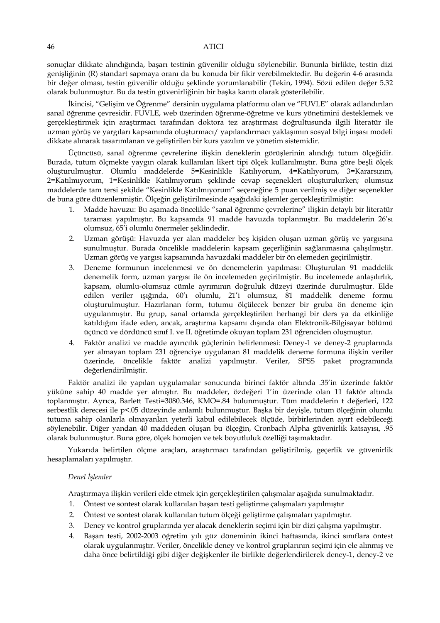sonuçlar dikkate alındığında, başarı testinin güvenilir olduğu söylenebilir. Bununla birlikte, testin dizi genişliğinin (R) standart sapmaya oranı da bu konuda bir fikir verebilmektedir. Bu değerin 4-6 arasında bir değer olması, testin güvenilir olduğu şeklinde yorumlanabilir (Tekin, 1994). Sözü edilen değer 5.32 olarak bulunmuştur. Bu da testin güvenirliğinin bir başka kanıtı olarak gösterilebilir.

İkincisi, "Gelişim ve Öğrenme" dersinin uygulama platformu olan ve "FUVLE" olarak adlandırılan sanal öğrenme çevresidir. FUVLE, web üzerinden öğrenme-öğretme ve kurs yönetimini desteklemek ve gerçekleştirmek için araştırmacı tarafından doktora tez araştırması doğrultusunda ilgili literatür ile uzman görüş ve yargıları kapsamında oluşturmacı/ yapılandırmacı yaklaşımın sosyal bilgi inşası modeli dikkate alınarak tasarımlanan ve geliştirilen bir kurs yazılım ve yönetim sistemidir.

Üçüncüsü, sanal öğrenme çevrelerine ilişkin deneklerin görüşlerinin alındığı tutum ölçeğidir. Burada, tutum ölçmekte yaygın olarak kullanılan likert tipi ölçek kullanılmıştır. Buna göre beşli ölçek oluşturulmuştur. Olumlu maddelerde 5=Kesinlikle Katılıyorum, 4=Katılıyorum, 3=Kararsızım, 2=Katılmıyorum, 1=Kesinlikle Katılmıyorum şeklinde cevap seçenekleri oluşturulurken; olumsuz maddelerde tam tersi şekilde "Kesinlikle Katılmıyorum" seçeneğine 5 puan verilmiş ve diğer seçenekler de buna göre düzenlenmiştir. Ölçeğin geliştirilmesinde aşağıdaki işlemler gerçekleştirilmiştir:

- 1. Madde havuzu: Bu aşamada öncelikle "sanal öğrenme çevrelerine" ilişkin detaylı bir literatür taraması yapılmıştır. Bu kapsamda 91 madde havuzda toplanmıştır. Bu maddelerin 26'sı olumsuz, 65'i olumlu önermeler şeklindedir.
- 2. Uzman görüşü: Havuzda yer alan maddeler beş kişiden oluşan uzman görüş ve yargısına sunulmuştur. Burada öncelikle maddelerin kapsam geçerliğinin sağlanmasına çalışılmıştır. Uzman görüş ve yargısı kapsamında havuzdaki maddeler bir ön elemeden geçirilmiştir.
- 3. Deneme formunun incelenmesi ve ön denemelerin yapılması: Oluşturulan 91 maddelik denemelik form, uzman yargısı ile ön incelemeden geçirilmiştir. Bu incelemede anlaşılırlık, kapsam, olumlu-olumsuz cümle ayrımının doğruluk düzeyi üzerinde durulmuştur. Elde edilen veriler ışığında, 60'ı olumlu, 21'i olumsuz, 81 maddelik deneme formu oluşturulmuştur. Hazırlanan form, tutumu ölçülecek benzer bir gruba ön deneme için uygulanmıştır. Bu grup, sanal ortamda gerçekleştirilen herhangi bir ders ya da etkinliğe katıldığını ifade eden, ancak, araştırma kapsamı dışında olan Elektronik-Bilgisayar bölümü üçüncü ve dördüncü sınıf I. ve II. öğretimde okuyan toplam 231 öğrenciden oluşmuştur.
- 4. Faktör analizi ve madde ayırıcılık güçlerinin belirlenmesi: Deney-1 ve deney-2 gruplarında yer almayan toplam 231 öğrenciye uygulanan 81 maddelik deneme formuna ilişkin veriler üzerinde, öncelikle faktör analizi yapılmıştır. Veriler, SPSS paket programında değerlendirilmiştir.

Faktör analizi ile yapılan uygulamalar sonucunda birinci faktör altında .35'in üzerinde faktör yüküne sahip 40 madde yer almıştır. Bu maddeler, özdeğeri 1'in üzerinde olan 11 faktör altında toplanmıştır. Ayrıca, Barlett Testi=3080.346, KMO=.84 bulunmuştur. Tüm maddelerin t değerleri, 122 serbestlik derecesi ile p<.05 düzeyinde anlamlı bulunmuştur. Başka bir deyişle, tutum ölçeğinin olumlu tutuma sahip olanlarla olmayanları yeterli kabul edilebilecek ölçüde, birbirlerinden ayırt edebileceği söylenebilir. Diğer yandan 40 maddeden oluşan bu ölçeğin, Cronbach Alpha güvenirlik katsayısı, .95 olarak bulunmuştur. Buna göre, ölçek homojen ve tek boyutluluk özelliği taşımaktadır.

Yukarıda belirtilen ölçme araçları, araştırmacı tarafından geliştirilmiş, geçerlik ve güvenirlik hesaplamaları yapılmıştır.

### *Denel İşlemler*

Araştırmaya ilişkin verileri elde etmek için gerçekleştirilen çalışmalar aşağıda sunulmaktadır.

- 1. Öntest ve sontest olarak kullanılan başarı testi geliştirme çalışmaları yapılmıştır
- 2. Öntest ve sontest olarak kullanılan tutum ölçeği geliştirme çalışmaları yapılmıştır.
- 3. Deney ve kontrol gruplarında yer alacak deneklerin seçimi için bir dizi çalışma yapılmıştır.
- 4. Başarı testi, 2002-2003 öğretim yılı güz döneminin ikinci haftasında, ikinci sınıflara öntest olarak uygulanmıştır. Veriler, öncelikle deney ve kontrol gruplarının seçimi için ele alınmış ve daha önce belirtildiği gibi diğer değişkenler ile birlikte değerlendirilerek deney-1, deney-2 ve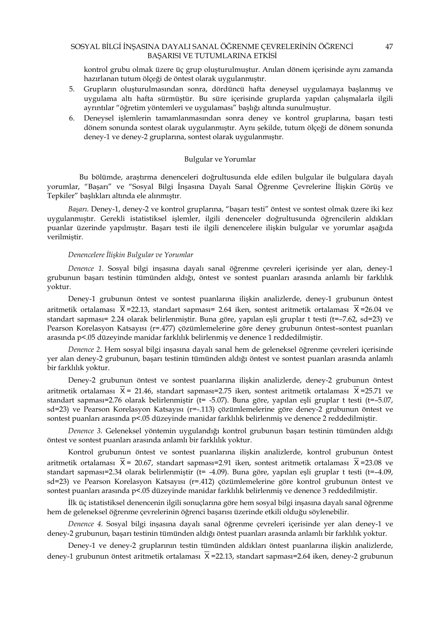kontrol grubu olmak üzere üç grup oluşturulmuştur. Anılan dönem içerisinde aynı zamanda hazırlanan tutum ölçeği de öntest olarak uygulanmıştır.

- 5. Grupların oluşturulmasından sonra, dördüncü hafta deneysel uygulamaya başlanmış ve uygulama altı hafta sürmüştür. Bu süre içerisinde gruplarda yapılan çalışmalarla ilgili ayrıntılar "öğretim yöntemleri ve uygulaması" başlığı altında sunulmuştur.
- 6. Deneysel işlemlerin tamamlanmasından sonra deney ve kontrol gruplarına, başarı testi dönem sonunda sontest olarak uygulanmıştır. Aynı şekilde, tutum ölçeği de dönem sonunda deney-1 ve deney-2 gruplarına, sontest olarak uygulanmıştır.

### Bulgular ve Yorumlar

 Bu bölümde, araştırma denenceleri doğrultusunda elde edilen bulgular ile bulgulara dayalı yorumlar, "Başarı" ve "Sosyal Bilgi İnşasına Dayalı Sanal Öğrenme Çevrelerine İlişkin Görüş ve Tepkiler" başlıkları altında ele alınmıştır.

*Başarı.* Deney-1, deney-2 ve kontrol gruplarına, "başarı testi" öntest ve sontest olmak üzere iki kez uygulanmıştır. Gerekli istatistiksel işlemler, ilgili denenceler doğrultusunda öğrencilerin aldıkları puanlar üzerinde yapılmıştır. Başarı testi ile ilgili denencelere ilişkin bulgular ve yorumlar aşağıda verilmiştir.

### *Denencelere İlişkin Bulgular ve Yorumlar*

*Denence 1.* Sosyal bilgi inşasına dayalı sanal öğrenme çevreleri içerisinde yer alan, deney-1 grubunun başarı testinin tümünden aldığı, öntest ve sontest puanları arasında anlamlı bir farklılık yoktur.

Deney-1 grubunun öntest ve sontest puanlarına ilişkin analizlerde, deney-1 grubunun öntest aritmetik ortalaması  $\bar{X}$  =22.13, standart sapması= 2.64 iken, sontest aritmetik ortalaması  $\bar{X}$  =26.04 ve standart sapması= 2.24 olarak belirlenmiştir. Buna göre, yapılan eşli gruplar t testi (t=–7.62, sd=23) ve Pearson Korelasyon Katsayısı (r=.477) çözümlemelerine göre deney grubunun öntest–sontest puanları arasında p<.05 düzeyinde manidar farklılık belirlenmiş ve denence 1 reddedilmiştir.

*Denence 2.* Hem sosyal bilgi inşasına dayalı sanal hem de geleneksel öğrenme çevreleri içerisinde yer alan deney-2 grubunun, başarı testinin tümünden aldığı öntest ve sontest puanları arasında anlamlı bir farklılık yoktur.

Deney-2 grubunun öntest ve sontest puanlarına ilişkin analizlerde, deney-2 grubunun öntest aritmetik ortalaması  $\overline{X}$  = 21.46, standart sapması=2.75 iken, sontest aritmetik ortalaması  $\overline{X}$  =25.71 ve standart sapması=2.76 olarak belirlenmiştir (t= -5.07). Buna göre, yapılan eşli gruplar t testi (t=-5.07, sd=23) ve Pearson Korelasyon Katsayısı (r=-.113) çözümlemelerine göre deney-2 grubunun öntest ve sontest puanları arasında p<.05 düzeyinde manidar farklılık belirlenmiş ve denence 2 reddedilmiştir.

*Denence 3.* Geleneksel yöntemin uygulandığı kontrol grubunun başarı testinin tümünden aldığı öntest ve sontest puanları arasında anlamlı bir farklılık yoktur.

Kontrol grubunun öntest ve sontest puanlarına ilişkin analizlerde, kontrol grubunun öntest aritmetik ortalaması  $\bar{X}$  = 20.67, standart sapması=2.91 iken, sontest aritmetik ortalaması  $\bar{X}$ =23.08 ve standart sapması=2.34 olarak belirlenmiştir (t= -4.09). Buna göre, yapılan eşli gruplar t testi (t=-4.09, sd=23) ve Pearson Korelasyon Katsayısı (r=.412) çözümlemelerine göre kontrol grubunun öntest ve sontest puanları arasında p<.05 düzeyinde manidar farklılık belirlenmiş ve denence 3 reddedilmiştir.

İlk üç istatistiksel denencenin ilgili sonuçlarına göre hem sosyal bilgi inşasına dayalı sanal öğrenme hem de geleneksel öğrenme çevrelerinin öğrenci başarısı üzerinde etkili olduğu söylenebilir.

*Denence 4.* Sosyal bilgi inşasına dayalı sanal öğrenme çevreleri içerisinde yer alan deney-1 ve deney-2 grubunun, başarı testinin tümünden aldığı öntest puanları arasında anlamlı bir farklılık yoktur.

Deney-1 ve deney-2 gruplarının testin tümünden aldıkları öntest puanlarına ilişkin analizlerde, deney-1 grubunun öntest aritmetik ortalaması  $\bar{x}$  =22.13, standart sapması=2.64 iken, deney-2 grubunun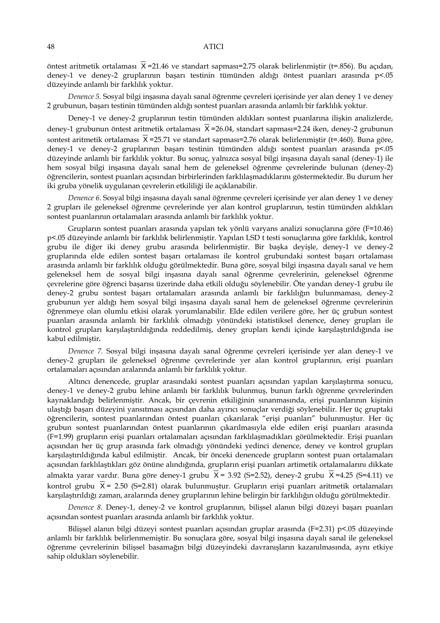öntest aritmetik ortalaması  $\overline{X}$  =21.46 ve standart sapması=2.75 olarak belirlenmiştir (t=.856). Bu açıdan, deney-1 ve deney-2 gruplarının başarı testinin tümünden aldığı öntest puanları arasında p<.05 düzeyinde anlamlı bir farklılık yoktur.

*Denence 5.* Sosyal bilgi inşasına dayalı sanal öğrenme çevreleri içerisinde yer alan deney 1 ve deney 2 grubunun, başarı testinin tümünden aldığı sontest puanları arasında anlamlı bir farklılık yoktur.

Deney-1 ve deney-2 gruplarının testin tümünden aldıkları sontest puanlarına ilişkin analizlerde, deney-1 grubunun öntest aritmetik ortalaması  $\overline{X}$  =26.04, standart sapması=2.24 iken, deney-2 grubunun sontest aritmetik ortalaması  $\bar{X}$  =25.71 ve standart sapması=2.76 olarak belirlenmiştir (t=.460). Buna göre, deney-1 ve deney-2 gruplarının başarı testinin tümünden aldığı sontest puanları arasında p<.05 düzeyinde anlamlı bir farklılık yoktur. Bu sonuç, yalnızca sosyal bilgi inşasına dayalı sanal (deney-1) ile hem sosyal bilgi inşasına dayalı sanal hem de geleneksel öğrenme çevrelerinde bulunan (deney-2) öğrencilerin, sontest puanları açısından birbirlerinden farklılaşmadıklarını göstermektedir. Bu durum her iki gruba yönelik uygulanan çevrelerin etkililiği ile açıklanabilir.

*Denence 6*. Sosyal bilgi inşasına dayalı sanal öğrenme çevreleri içerisinde yer alan deney 1 ve deney 2 grupları ile geleneksel öğrenme çevrelerinde yer alan kontrol gruplarının, testin tümünden aldıkları sontest puanlarının ortalamaları arasında anlamlı bir farklılık yoktur.

Grupların sontest puanları arasında yapılan tek yönlü varyans analizi sonuçlarına göre (F=10.46) p<.05 düzeyinde anlamlı bir farklılık belirlenmiştir. Yapılan LSD t testi sonuçlarına göre farklılık, kontrol grubu ile diğer iki deney grubu arasında belirlenmiştir. Bir başka deyişle, deney-1 ve deney-2 gruplarında elde edilen sontest başarı ortalaması ile kontrol grubundaki sontest başarı ortalaması arasında anlamlı bir farklılık olduğu görülmektedir. Buna göre, sosyal bilgi inşasına dayalı sanal ve hem geleneksel hem de sosyal bilgi inşasına dayalı sanal öğrenme çevrelerinin, geleneksel öğrenme çevrelerine göre öğrenci başarısı üzerinde daha etkili olduğu söylenebilir. Öte yandan deney-1 grubu ile deney-2 grubu sontest başarı ortalamaları arasında anlamlı bir farklılığın bulunmaması, deney-2 grubunun yer aldığı hem sosyal bilgi inşasına dayalı sanal hem de geleneksel öğrenme çevrelerinin öğrenmeye olan olumlu etkisi olarak yorumlanabilir. Elde edilen verilere göre, her üç grubun sontest puanları arasında anlamlı bir farklılık olmadığı yönündeki istatistiksel denence, deney grupları ile kontrol grupları karşılaştırıldığında reddedilmiş, deney grupları kendi içinde karşılaştırıldığında ise kabul edilmiştir*.* 

*Denence 7.* Sosyal bilgi inşasına dayalı sanal öğrenme çevreleri içerisinde yer alan deney-1 ve deney-2 grupları ile geleneksel öğrenme çevrelerinde yer alan kontrol gruplarının, erişi puanları ortalamaları açısından aralarında anlamlı bir farklılık yoktur.

Altıncı denencede, gruplar arasındaki sontest puanları açısından yapılan karşılaştırma sonucu, deney-1 ve deney-2 grubu lehine anlamlı bir farklılık bulunmuş, bunun farklı öğrenme çevrelerinden kaynaklandığı belirlenmiştir. Ancak, bir çevrenin etkiliğinin sınanmasında, erişi puanlarının kişinin ulaştığı başarı düzeyini yansıtması açısından daha ayırıcı sonuçlar verdiği söylenebilir. Her üç gruptaki öğrencilerin, sontest puanlarından öntest puanları çıkarılarak "erişi puanları" bulunmuştur. Her üç grubun sontest puanlarından öntest puanlarının çıkarılmasıyla elde edilen erişi puanları arasında (F=1.99) grupların erişi puanları ortalamaları açısından farklılaşmadıkları görülmektedir. Erişi puanları açısından her üç grup arasında fark olmadığı yönündeki yedinci denence, deney ve kontrol grupları karşılaştırıldığında kabul edilmiştir. Ancak, bir önceki denencede grupların sontest puan ortalamaları açısından farklılaştıkları göz önüne alındığında, grupların erişi puanları artimetik ortalamalarını dikkate almakta yarar vardır. Buna göre deney-1 grubu  $\bar{X}$  = 3.92 (S=2.52), deney-2 grubu  $\bar{X}$  =4.25 (S=4.11) ve kontrol grubu  $\overline{X}$  = 2.50 (S=2.81) olarak bulunmuştur. Grupların erişi puanları aritmetik ortalamaları karşılaştırıldığı zaman, aralarında deney gruplarının lehine belirgin bir farklılığın olduğu görülmektedir.

*Denence 8.* Deney-1, deney-2 ve kontrol gruplarının, bilişsel alanın bilgi düzeyi başarı puanları açısından sontest puanları arasında anlamlı bir farklılık yoktur.

Bilişsel alanın bilgi düzeyi sontest puanları açısından gruplar arasında (F=2.31) p<.05 düzeyinde anlamlı bir farklılık belirlenmemiştir. Bu sonuçlara göre, sosyal bilgi inşasına dayalı sanal ile geleneksel öğrenme çevrelerinin bilişsel basamağın bilgi düzeyindeki davranışların kazanılmasında, aynı etkiye sahip oldukları söylenebilir.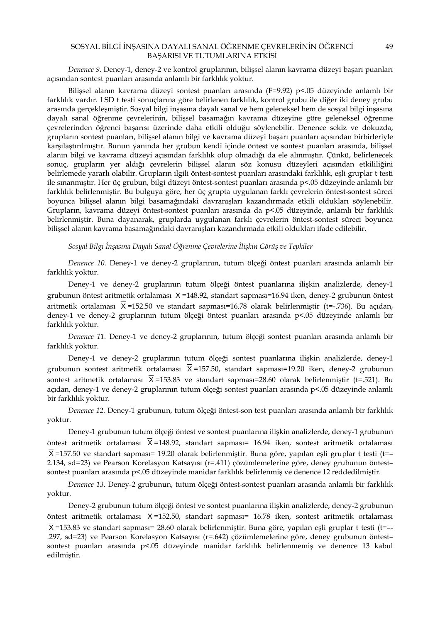*Denence 9.* Deney-1, deney-2 ve kontrol gruplarının, bilişsel alanın kavrama düzeyi başarı puanları açısından sontest puanları arasında anlamlı bir farklılık yoktur.

Bilişsel alanın kavrama düzeyi sontest puanları arasında (F=9.92) p<.05 düzeyinde anlamlı bir farklılık vardır. LSD t testi sonuçlarına göre belirlenen farklılık, kontrol grubu ile diğer iki deney grubu arasında gerçekleşmiştir. Sosyal bilgi inşasına dayalı sanal ve hem geleneksel hem de sosyal bilgi inşasına dayalı sanal öğrenme çevrelerinin, bilişsel basamağın kavrama düzeyine göre geleneksel öğrenme çevrelerinden öğrenci başarısı üzerinde daha etkili olduğu söylenebilir. Denence sekiz ve dokuzda, grupların sontest puanları, bilişsel alanın bilgi ve kavrama düzeyi başarı puanları açısından birbirleriyle karşılaştırılmıştır. Bunun yanında her grubun kendi içinde öntest ve sontest puanları arasında, bilişsel alanın bilgi ve kavrama düzeyi açısından farklılık olup olmadığı da ele alınmıştır. Çünkü, belirlenecek sonuç, grupların yer aldığı çevrelerin bilişsel alanın söz konusu düzeyleri açısından etkililiğini belirlemede yararlı olabilir. Grupların ilgili öntest-sontest puanları arasındaki farklılık, eşli gruplar t testi ile sınanmıştır. Her üç grubun, bilgi düzeyi öntest-sontest puanları arasında p<.05 düzeyinde anlamlı bir farklılık belirlenmiştir. Bu bulguya göre, her üç grupta uygulanan farklı çevrelerin öntest-sontest süreci boyunca bilişsel alanın bilgi basamağındaki davranışları kazandırmada etkili oldukları söylenebilir. Grupların, kavrama düzeyi öntest-sontest puanları arasında da p<.05 düzeyinde, anlamlı bir farklılık belirlenmiştir. Buna dayanarak, gruplarda uygulanan farklı çevrelerin öntest-sontest süreci boyunca bilişsel alanın kavrama basamağındaki davranışları kazandırmada etkili oldukları ifade edilebilir.

*Sosyal Bilgi İnşasına Dayalı Sanal Öğrenme Çevrelerine İlişkin Görüş ve Tepkiler* 

*Denence 10.* Deney-1 ve deney-2 gruplarının, tutum ölçeği öntest puanları arasında anlamlı bir farklılık yoktur.

Deney-1 ve deney-2 gruplarının tutum ölçeği öntest puanlarına ilişkin analizlerde, deney-1 grubunun öntest aritmetik ortalaması  $\overline{X}$  =148.92, standart sapması=16.94 iken, deney-2 grubunun öntest aritmetik ortalaması  $\bar{X}$  =152.50 ve standart sapması=16.78 olarak belirlenmiştir (t=-.736). Bu açıdan, deney-1 ve deney-2 gruplarının tutum ölçeği öntest puanları arasında p<.05 düzeyinde anlamlı bir farklılık yoktur.

*Denence 11.* Deney-1 ve deney-2 gruplarının, tutum ölçeği sontest puanları arasında anlamlı bir farklılık yoktur.

Deney-1 ve deney-2 gruplarının tutum ölçeği sontest puanlarına ilişkin analizlerde, deney-1 grubunun sontest aritmetik ortalaması  $\overline{X}$  =157.50, standart sapması=19.20 iken, deney-2 grubunun sontest aritmetik ortalaması  $\bar{X}$  =153.83 ve standart sapması=28.60 olarak belirlenmiştir (t=.521). Bu açıdan, deney-1 ve deney-2 gruplarının tutum ölçeği sontest puanları arasında p<.05 düzeyinde anlamlı bir farklılık yoktur.

*Denence 12.* Deney-1 grubunun, tutum ölçeği öntest-son test puanları arasında anlamlı bir farklılık yoktur.

Deney-1 grubunun tutum ölçeği öntest ve sontest puanlarına ilişkin analizlerde, deney-1 grubunun öntest aritmetik ortalaması  $\overline{X}$  =148.92, standart sapması= 16.94 iken, sontest aritmetik ortalaması  $\overline{X}$  =157.50 ve standart sapması= 19.20 olarak belirlenmiştir. Buna göre, yapılan eşli gruplar t testi (t=-2.134, sd=23) ve Pearson Korelasyon Katsayısı (r=.411) çözümlemelerine göre, deney grubunun öntest– sontest puanları arasında p<.05 düzeyinde manidar farklılık belirlenmiş ve denence 12 reddedilmiştir.

*Denence 13.* Deney-2 grubunun, tutum ölçeği öntest-sontest puanları arasında anlamlı bir farklılık yoktur.

Deney-2 grubunun tutum ölçeği öntest ve sontest puanlarına ilişkin analizlerde, deney-2 grubunun öntest aritmetik ortalaması X =152.50, standart sapması= 16.78 iken, sontest aritmetik ortalaması  $\overline{X}$  =153.83 ve standart sapması= 28.60 olarak belirlenmiştir. Buna göre, yapılan eşli gruplar t testi (t=--.297, sd=23) ve Pearson Korelasyon Katsayısı (r=.642) çözümlemelerine göre, deney grubunun öntest– sontest puanları arasında p<.05 düzeyinde manidar farklılık belirlenmemiş ve denence 13 kabul edilmiştir.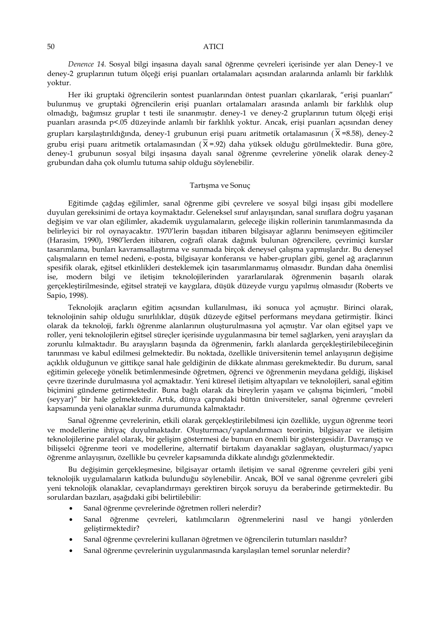*Denence 14.* Sosyal bilgi inşasına dayalı sanal öğrenme çevreleri içerisinde yer alan Deney-1 ve deney-2 gruplarının tutum ölçeği erişi puanları ortalamaları açısından aralarında anlamlı bir farklılık yoktur.

Her iki gruptaki öğrencilerin sontest puanlarından öntest puanları çıkarılarak, "erişi puanları" bulunmuş ve gruptaki öğrencilerin erişi puanları ortalamaları arasında anlamlı bir farklılık olup olmadığı, bağımsız gruplar t testi ile sınanmıştır. deney-1 ve deney-2 gruplarının tutum ölçeği erişi puanları arasında p<.05 düzeyinde anlamlı bir farklılık yoktur. Ancak, erişi puanları açısından deney grupları karşılaştırıldığında, deney-1 grubunun erişi puanı aritmetik ortalamasının ( $\bar{X}$ =8.58), deney-2 grubu erişi puanı aritmetik ortalamasından ( $\overline{X}$  =.92) daha yüksek olduğu görülmektedir. Buna göre, deney-1 grubunun sosyal bilgi inşasına dayalı sanal öğrenme çevrelerine yönelik olarak deney-2 grubundan daha çok olumlu tutuma sahip olduğu söylenebilir.

### Tartışma ve Sonuç

Eğitimde çağdaş eğilimler, sanal öğrenme gibi çevrelere ve sosyal bilgi inşası gibi modellere duyulan gereksinimi de ortaya koymaktadır. Geleneksel sınıf anlayışından, sanal sınıflara doğru yaşanan değişim ve var olan eğilimler, akademik uygulamaların, geleceğe ilişkin rollerinin tanımlanmasında da belirleyici bir rol oynayacaktır. 1970'lerin başıdan itibaren bilgisayar ağlarını benimseyen eğitimciler (Harasim, 1990), 1980'lerden itibaren, coğrafi olarak dağınık bulunan öğrencilere, çevrimiçi kurslar tasarımlama, bunları kavramsallaştırma ve sunmada birçok deneysel çalışma yapmışlardır. Bu deneysel çalışmaların en temel nedeni, e-posta, bilgisayar konferansı ve haber-grupları gibi, genel ağ araçlarının spesifik olarak, eğitsel etkinlikleri desteklemek için tasarımlanmamış olmasıdır. Bundan daha önemlisi ise, modern bilgi ve iletişim teknolojilerinden yararlanılarak öğrenmenin başarılı olarak gerçekleştirilmesinde, eğitsel strateji ve kaygılara, düşük düzeyde vurgu yapılmış olmasıdır (Roberts ve Sapio, 1998).

Teknolojik araçların eğitim açısından kullanılması, iki sonuca yol açmıştır. Birinci olarak, teknolojinin sahip olduğu sınırlılıklar, düşük düzeyde eğitsel performans meydana getirmiştir. İkinci olarak da teknoloji, farklı öğrenme alanlarının oluşturulmasına yol açmıştır. Var olan eğitsel yapı ve roller, yeni teknolojilerin eğitsel süreçler içerisinde uygulanmasına bir temel sağlarken, yeni arayışları da zorunlu kılmaktadır. Bu arayışların başında da öğrenmenin, farklı alanlarda gerçekleştirilebileceğinin tanınması ve kabul edilmesi gelmektedir. Bu noktada, özellikle üniversitenin temel anlayışının değişime açıklık olduğunun ve gittikçe sanal hale geldiğinin de dikkate alınması gerekmektedir. Bu durum, sanal eğitimin geleceğe yönelik betimlenmesinde öğretmen, öğrenci ve öğrenmenin meydana geldiği, ilişkisel çevre üzerinde durulmasına yol açmaktadır. Yeni küresel iletişim altyapıları ve teknolojileri, sanal eğitim biçimini gündeme getirmektedir. Buna bağlı olarak da bireylerin yaşam ve çalışma biçimleri, "mobil (seyyar)" bir hale gelmektedir. Artık, dünya çapındaki bütün üniversiteler, sanal öğrenme çevreleri kapsamında yeni olanaklar sunma durumunda kalmaktadır.

Sanal öğrenme çevrelerinin, etkili olarak gerçekleştirilebilmesi için özellikle, uygun öğrenme teori ve modellerine ihtiyaç duyulmaktadır. Oluşturmacı/yapılandırmacı teorinin, bilgisayar ve iletişim teknolojilerine paralel olarak, bir gelişim göstermesi de bunun en önemli bir göstergesidir. Davranışçı ve bilişselci öğrenme teori ve modellerine, alternatif birtakım dayanaklar sağlayan, oluşturmacı/yapıcı öğrenme anlayışının, özellikle bu çevreler kapsamında dikkate alındığı gözlenmektedir.

Bu değişimin gerçekleşmesine, bilgisayar ortamlı iletişim ve sanal öğrenme çevreleri gibi yeni teknolojik uygulamaların katkıda bulunduğu söylenebilir. Ancak, BOİ ve sanal öğrenme çevreleri gibi yeni teknolojik olanaklar, cevaplandırmayı gerektiren birçok soruyu da beraberinde getirmektedir. Bu sorulardan bazıları, aşağıdaki gibi belirtilebilir:

- Sanal öğrenme çevrelerinde öğretmen rolleri nelerdir?
- Sanal öğrenme çevreleri, katılımcıların öğrenmelerini nasıl ve hangi yönlerden geliştirmektedir?
- Sanal öğrenme çevrelerini kullanan öğretmen ve öğrencilerin tutumları nasıldır?
- Sanal öğrenme çevrelerinin uygulanmasında karşılaşılan temel sorunlar nelerdir?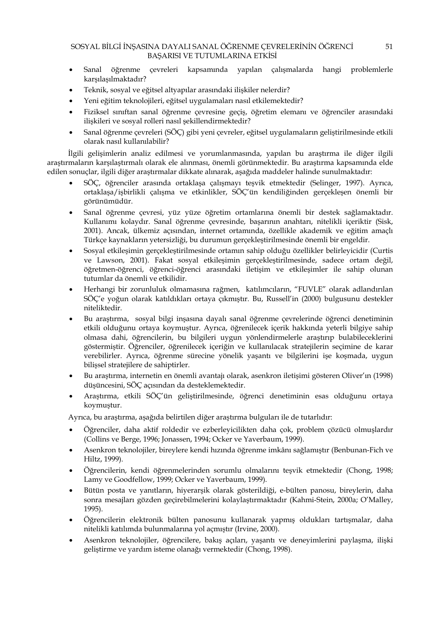- Sanal öğrenme çevreleri kapsamında yapılan çalışmalarda hangi problemlerle karşılaşılmaktadır?
- Teknik, sosyal ve eğitsel altyapılar arasındaki ilişkiler nelerdir?
- Yeni eğitim teknolojileri, eğitsel uygulamaları nasıl etkilemektedir?
- Fiziksel sınıftan sanal öğrenme çevresine geçiş, öğretim elemanı ve öğrenciler arasındaki ilişkileri ve sosyal rolleri nasıl şekillendirmektedir?
- Sanal öğrenme çevreleri (SÖÇ) gibi yeni çevreler, eğitsel uygulamaların geliştirilmesinde etkili olarak nasıl kullanılabilir?

İlgili gelişimlerin analiz edilmesi ve yorumlanmasında, yapılan bu araştırma ile diğer ilgili araştırmaların karşılaştırmalı olarak ele alınması, önemli görünmektedir. Bu araştırma kapsamında elde edilen sonuçlar, ilgili diğer araştırmalar dikkate alınarak, aşağıda maddeler halinde sunulmaktadır:

- SÖÇ, öğrenciler arasında ortaklaşa çalışmayı teşvik etmektedir (Selinger, 1997). Ayrıca, ortaklaşa/işbirlikli çalışma ve etkinlikler, SÖÇ'ün kendiliğinden gerçekleşen önemli bir görünümüdür.
- Sanal öğrenme çevresi, yüz yüze öğretim ortamlarına önemli bir destek sağlamaktadır. Kullanımı kolaydır. Sanal öğrenme çevresinde, başarının anahtarı, nitelikli içeriktir (Sisk, 2001). Ancak, ülkemiz açısından, internet ortamında, özellikle akademik ve eğitim amaçlı Türkçe kaynakların yetersizliği, bu durumun gerçekleştirilmesinde önemli bir engeldir.
- Sosyal etkileşimin gerçekleştirilmesinde ortamın sahip olduğu özellikler belirleyicidir (Curtis ve Lawson, 2001). Fakat sosyal etkileşimin gerçekleştirilmesinde, sadece ortam değil, öğretmen-öğrenci, öğrenci-öğrenci arasındaki iletişim ve etkileşimler ile sahip olunan tutumlar da önemli ve etkilidir.
- Herhangi bir zorunluluk olmamasına rağmen, katılımcıların, "FUVLE" olarak adlandırılan SÖÇ'e yoğun olarak katıldıkları ortaya çıkmıştır. Bu, Russell'in (2000) bulgusunu destekler niteliktedir.
- Bu araştırma, sosyal bilgi inşasına dayalı sanal öğrenme çevrelerinde öğrenci denetiminin etkili olduğunu ortaya koymuştur. Ayrıca, öğrenilecek içerik hakkında yeterli bilgiye sahip olmasa dahi, öğrencilerin, bu bilgileri uygun yönlendirmelerle araştırıp bulabileceklerini göstermiştir. Öğrenciler, öğrenilecek içeriğin ve kullanılacak stratejilerin seçimine de karar verebilirler. Ayrıca, öğrenme sürecine yönelik yaşantı ve bilgilerini işe koşmada, uygun bilişsel stratejilere de sahiptirler.
- Bu araştırma, internetin en önemli avantajı olarak, asenkron iletişimi gösteren Oliver'ın (1998) düşüncesini, SÖÇ açısından da desteklemektedir.
- Araştırma, etkili SÖÇ'ün geliştirilmesinde, öğrenci denetiminin esas olduğunu ortaya koymuştur.

Ayrıca, bu araştırma, aşağıda belirtilen diğer araştırma bulguları ile de tutarlıdır:

- Öğrenciler, daha aktif roldedir ve ezberleyicilikten daha çok, problem çözücü olmuşlardır (Collins ve Berge, 1996; Jonassen, 1994; Ocker ve Yaverbaum, 1999).
- Asenkron teknolojiler, bireylere kendi hızında öğrenme imkânı sağlamıştır (Benbunan-Fich ve Hiltz, 1999).
- Öğrencilerin, kendi öğrenmelerinden sorumlu olmalarını teşvik etmektedir (Chong, 1998; Lamy ve Goodfellow, 1999; Ocker ve Yaverbaum, 1999).
- Bütün posta ve yanıtların, hiyerarşik olarak gösterildiği, e-bülten panosu, bireylerin, daha sonra mesajları gözden geçirebilmelerini kolaylaştırmaktadır (Kahmi-Stein, 2000a; O'Malley, 1995).
- Öğrencilerin elektronik bülten panosunu kullanarak yapmış oldukları tartışmalar, daha nitelikli katılımda bulunmalarına yol açmıştır (Irvine, 2000).
- Asenkron teknolojiler, öğrencilere, bakış açıları, yaşantı ve deneyimlerini paylaşma, ilişki geliştirme ve yardım isteme olanağı vermektedir (Chong, 1998).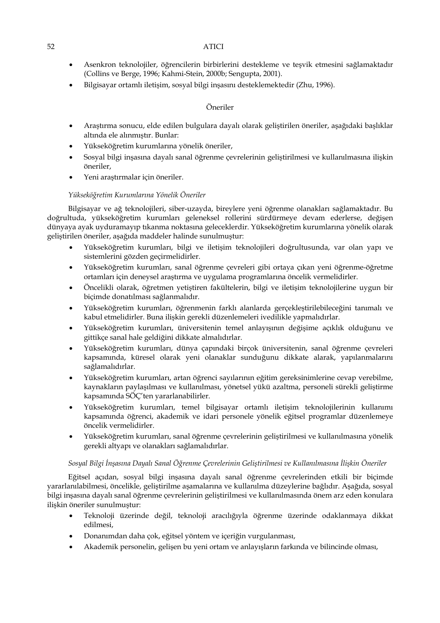- Asenkron teknolojiler, öğrencilerin birbirlerini destekleme ve teşvik etmesini sağlamaktadır (Collins ve Berge, 1996; Kahmi-Stein, 2000b; Sengupta, 2001).
- Bilgisayar ortamlı iletişim, sosyal bilgi inşasını desteklemektedir (Zhu, 1996).

# Öneriler

- Araştırma sonucu, elde edilen bulgulara dayalı olarak geliştirilen öneriler, aşağıdaki başlıklar altında ele alınmıştır. Bunlar:
- Yükseköğretim kurumlarına yönelik öneriler,
- Sosyal bilgi inşasına dayalı sanal öğrenme çevrelerinin geliştirilmesi ve kullanılmasına ilişkin öneriler,
- Yeni araştırmalar için öneriler.

# *Yükseköğretim Kurumlarına Yönelik Öneriler*

Bilgisayar ve ağ teknolojileri, siber-uzayda, bireylere yeni öğrenme olanakları sağlamaktadır. Bu doğrultuda, yükseköğretim kurumları geleneksel rollerini sürdürmeye devam ederlerse, değişen dünyaya ayak uyduramayıp tıkanma noktasına geleceklerdir. Yükseköğretim kurumlarına yönelik olarak geliştirilen öneriler, aşağıda maddeler halinde sunulmuştur:

- Yükseköğretim kurumları, bilgi ve iletişim teknolojileri doğrultusunda, var olan yapı ve sistemlerini gözden geçirmelidirler.
- Yükseköğretim kurumları, sanal öğrenme çevreleri gibi ortaya çıkan yeni öğrenme-öğretme ortamları için deneysel araştırma ve uygulama programlarına öncelik vermelidirler.
- Öncelikli olarak, öğretmen yetiştiren fakültelerin, bilgi ve iletişim teknolojilerine uygun bir biçimde donatılması sağlanmalıdır.
- Yükseköğretim kurumları, öğrenmenin farklı alanlarda gerçekleştirilebileceğini tanımalı ve kabul etmelidirler. Buna ilişkin gerekli düzenlemeleri ivedilikle yapmalıdırlar.
- Yükseköğretim kurumları, üniversitenin temel anlayışının değişime açıklık olduğunu ve gittikçe sanal hale geldiğini dikkate almalıdırlar.
- Yükseköğretim kurumları, dünya çapındaki birçok üniversitenin, sanal öğrenme çevreleri kapsamında, küresel olarak yeni olanaklar sunduğunu dikkate alarak, yapılanmalarını sağlamalıdırlar.
- Yükseköğretim kurumları, artan öğrenci sayılarının eğitim gereksinimlerine cevap verebilme, kaynakların paylaşılması ve kullanılması, yönetsel yükü azaltma, personeli sürekli geliştirme kapsamında SÖÇ'ten yararlanabilirler.
- Yükseköğretim kurumları, temel bilgisayar ortamlı iletişim teknolojilerinin kullanımı kapsamında öğrenci, akademik ve idari personele yönelik eğitsel programlar düzenlemeye öncelik vermelidirler.
- Yükseköğretim kurumları, sanal öğrenme çevrelerinin geliştirilmesi ve kullanılmasına yönelik gerekli altyapı ve olanakları sağlamalıdırlar.

# *Sosyal Bilgi İnşasına Dayalı Sanal Öğrenme Çevrelerinin Geliştirilmesi ve Kullanılmasına İlişkin Öneriler*

Eğitsel açıdan, sosyal bilgi inşasına dayalı sanal öğrenme çevrelerinden etkili bir biçimde yararlanılabilmesi, öncelikle, geliştirilme aşamalarına ve kullanılma düzeylerine bağlıdır. Aşağıda, sosyal bilgi inşasına dayalı sanal öğrenme çevrelerinin geliştirilmesi ve kullanılmasında önem arz eden konulara ilişkin öneriler sunulmuştur:

- Teknoloji üzerinde değil, teknoloji aracılığıyla öğrenme üzerinde odaklanmaya dikkat edilmesi,
- Donanımdan daha çok, eğitsel yöntem ve içeriğin vurgulanması,
- Akademik personelin, gelişen bu yeni ortam ve anlayışların farkında ve bilincinde olması,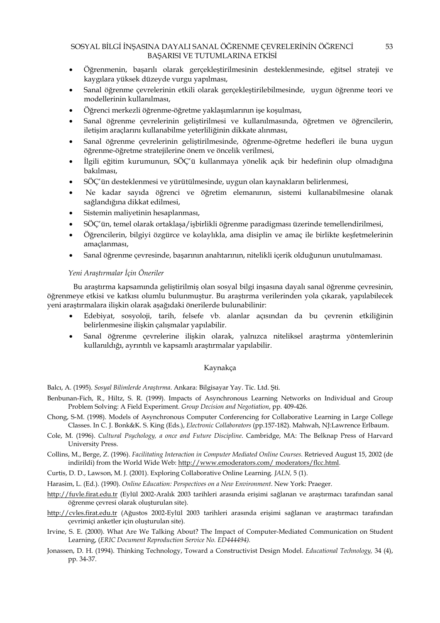- Öğrenmenin, başarılı olarak gerçekleştirilmesinin desteklenmesinde, eğitsel strateji ve kaygılara yüksek düzeyde vurgu yapılması,
- Sanal öğrenme çevrelerinin etkili olarak gerçekleştirilebilmesinde, uygun öğrenme teori ve modellerinin kullanılması,
- Öğrenci merkezli öğrenme-öğretme yaklaşımlarının işe koşulması,
- Sanal öğrenme çevrelerinin geliştirilmesi ve kullanılmasında, öğretmen ve öğrencilerin, iletişim araçlarını kullanabilme yeterliliğinin dikkate alınması,
- Sanal öğrenme çevrelerinin geliştirilmesinde, öğrenme-öğretme hedefleri ile buna uygun öğrenme-öğretme stratejilerine önem ve öncelik verilmesi,
- İlgili eğitim kurumunun, SÖÇ'ü kullanmaya yönelik açık bir hedefinin olup olmadığına bakılması,
- SÖÇ'ün desteklenmesi ve yürütülmesinde, uygun olan kaynakların belirlenmesi,
- Ne kadar sayıda öğrenci ve öğretim elemanının, sistemi kullanabilmesine olanak sağlandığına dikkat edilmesi,
- Sistemin maliyetinin hesaplanması,
- SÖÇ'ün, temel olarak ortaklaşa/işbirlikli öğrenme paradigması üzerinde temellendirilmesi,
- Öğrencilerin, bilgiyi özgürce ve kolaylıkla, ama disiplin ve amaç ile birlikte keşfetmelerinin amaçlanması,
- Sanal öğrenme çevresinde, başarının anahtarının, nitelikli içerik olduğunun unutulmaması.

### *Yeni Araştırmalar İçin Öneriler*

 Bu araştırma kapsamında geliştirilmiş olan sosyal bilgi inşasına dayalı sanal öğrenme çevresinin, öğrenmeye etkisi ve katkısı olumlu bulunmuştur. Bu araştırma verilerinden yola çıkarak, yapılabilecek yeni araştırmalara ilişkin olarak aşağıdaki önerilerde bulunabilinir:

- Edebiyat, sosyoloji, tarih, felsefe vb. alanlar açısından da bu çevrenin etkiliğinin belirlenmesine ilişkin çalışmalar yapılabilir.
- Sanal öğrenme çevrelerine ilişkin olarak, yalnızca niteliksel araştırma yöntemlerinin kullanıldığı, ayrıntılı ve kapsamlı araştırmalar yapılabilir.

# Kaynakça

Balcı, A. (1995). *Sosyal Bilimlerde Araştırma*. Ankara: Bilgisayar Yay. Tic. Ltd. Şti.

- Benbunan-Fich, R., Hiltz, S. R. (1999). Impacts of Asynchronous Learning Networks on Individual and Group Problem Solving: A Field Experiment. *Group Decision and Negotiation*, pp. 409-426.
- Chong, S-M. (1998). Models of Asynchronous Computer Conferencing for Collaborative Learning in Large College Classes. In C. J. Bonk&K. S. King (Eds.), *Electronic Collaborators* (pp.157-182). Mahwah, NJ:Lawrence Erlbaum.
- Cole, M. (1996). *Cultural Psychology, a once and Future Discipline*. Cambridge, MA: The Belknap Press of Harvard University Press.
- Collins, M., Berge, Z. (1996). *Facilitating Interaction in Computer Mediated Online Courses.* Retrieved August 15, 2002 (de indirildi) from the World Wide Web: http://www.emoderators.com/ moderators/flcc.html.
- Curtis, D. D., Lawson, M. J. (2001). Exploring Collaborative Online Learning. *JALN,* 5 (1).
- Harasim, L. (Ed.). (1990). *Online Education: Perspectives on a New Environment*. New York: Praeger.
- http://fuvle.firat.edu.tr (Eylül 2002-Aralık 2003 tarihleri arasında erişimi sağlanan ve araştırmacı tarafından sanal öğrenme çevresi olarak oluşturulan site).
- http://cvles.firat.edu.tr (Ağustos 2002-Eylül 2003 tarihleri arasında erişimi sağlanan ve araştırmacı tarafından çevrimiçi anketler için oluşturulan site).
- Irvine, S. E. (2000). What Are We Talking About? The Impact of Computer-Mediated Communication on Student Learning, (*ERIC Document Reproduction Service No. ED444494).*
- Jonassen, D. H. (1994). Thinking Technology, Toward a Constructivist Design Model. *Educational Technology,* 34 (4), pp. 34-37.